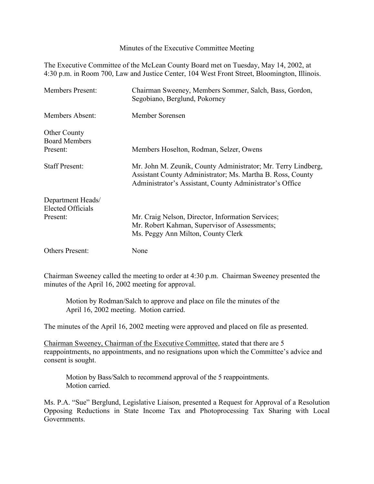Minutes of the Executive Committee Meeting

The Executive Committee of the McLean County Board met on Tuesday, May 14, 2002, at 4:30 p.m. in Room 700, Law and Justice Center, 104 West Front Street, Bloomington, Illinois.

| <b>Members Present:</b>                                   | Chairman Sweeney, Members Sommer, Salch, Bass, Gordon,<br>Segobiano, Berglund, Pokorney                                                                                                 |
|-----------------------------------------------------------|-----------------------------------------------------------------------------------------------------------------------------------------------------------------------------------------|
| Members Absent:                                           | Member Sorensen                                                                                                                                                                         |
| <b>Other County</b><br><b>Board Members</b><br>Present:   | Members Hoselton, Rodman, Selzer, Owens                                                                                                                                                 |
| <b>Staff Present:</b>                                     | Mr. John M. Zeunik, County Administrator; Mr. Terry Lindberg,<br>Assistant County Administrator; Ms. Martha B. Ross, County<br>Administrator's Assistant, County Administrator's Office |
| Department Heads/<br><b>Elected Officials</b><br>Present: | Mr. Craig Nelson, Director, Information Services;<br>Mr. Robert Kahman, Supervisor of Assessments;<br>Ms. Peggy Ann Milton, County Clerk                                                |
| <b>Others Present:</b>                                    | None                                                                                                                                                                                    |

Chairman Sweeney called the meeting to order at 4:30 p.m. Chairman Sweeney presented the minutes of the April 16, 2002 meeting for approval.

Motion by Rodman/Salch to approve and place on file the minutes of the April 16, 2002 meeting. Motion carried.

The minutes of the April 16, 2002 meeting were approved and placed on file as presented.

Chairman Sweeney, Chairman of the Executive Committee, stated that there are 5 reappointments, no appointments, and no resignations upon which the Committee's advice and consent is sought.

Motion by Bass/Salch to recommend approval of the 5 reappointments. Motion carried.

Ms. P.A. "Sue" Berglund, Legislative Liaison, presented a Request for Approval of a Resolution Opposing Reductions in State Income Tax and Photoprocessing Tax Sharing with Local Governments.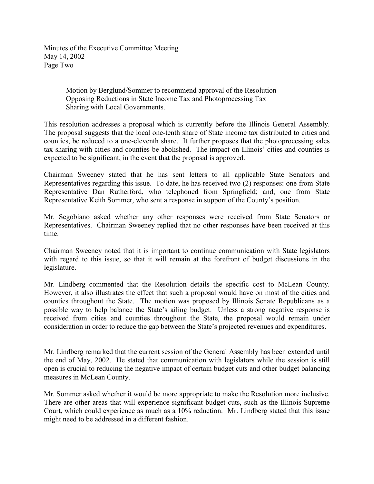Minutes of the Executive Committee Meeting May 14, 2002 Page Two

> Motion by Berglund/Sommer to recommend approval of the Resolution Opposing Reductions in State Income Tax and Photoprocessing Tax Sharing with Local Governments.

This resolution addresses a proposal which is currently before the Illinois General Assembly. The proposal suggests that the local one-tenth share of State income tax distributed to cities and counties, be reduced to a one-eleventh share. It further proposes that the photoprocessing sales tax sharing with cities and counties be abolished. The impact on Illinois' cities and counties is expected to be significant, in the event that the proposal is approved.

Chairman Sweeney stated that he has sent letters to all applicable State Senators and Representatives regarding this issue. To date, he has received two (2) responses: one from State Representative Dan Rutherford, who telephoned from Springfield; and, one from State Representative Keith Sommer, who sent a response in support of the County's position.

Mr. Segobiano asked whether any other responses were received from State Senators or Representatives. Chairman Sweeney replied that no other responses have been received at this time.

Chairman Sweeney noted that it is important to continue communication with State legislators with regard to this issue, so that it will remain at the forefront of budget discussions in the legislature.

Mr. Lindberg commented that the Resolution details the specific cost to McLean County. However, it also illustrates the effect that such a proposal would have on most of the cities and counties throughout the State. The motion was proposed by Illinois Senate Republicans as a possible way to help balance the State's ailing budget. Unless a strong negative response is received from cities and counties throughout the State, the proposal would remain under consideration in order to reduce the gap between the State's projected revenues and expenditures.

Mr. Lindberg remarked that the current session of the General Assembly has been extended until the end of May, 2002. He stated that communication with legislators while the session is still open is crucial to reducing the negative impact of certain budget cuts and other budget balancing measures in McLean County.

Mr. Sommer asked whether it would be more appropriate to make the Resolution more inclusive. There are other areas that will experience significant budget cuts, such as the Illinois Supreme Court, which could experience as much as a 10% reduction. Mr. Lindberg stated that this issue might need to be addressed in a different fashion.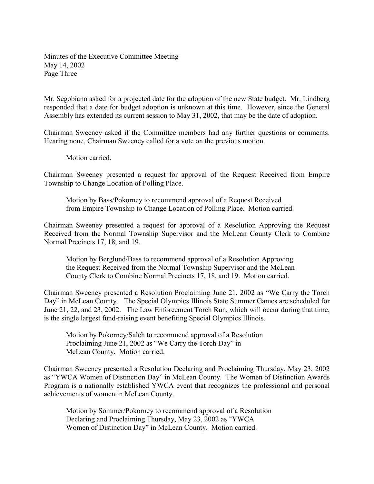Minutes of the Executive Committee Meeting May 14, 2002 Page Three

Mr. Segobiano asked for a projected date for the adoption of the new State budget. Mr. Lindberg responded that a date for budget adoption is unknown at this time. However, since the General Assembly has extended its current session to May 31, 2002, that may be the date of adoption.

Chairman Sweeney asked if the Committee members had any further questions or comments. Hearing none, Chairman Sweeney called for a vote on the previous motion.

Motion carried.

Chairman Sweeney presented a request for approval of the Request Received from Empire Township to Change Location of Polling Place.

Motion by Bass/Pokorney to recommend approval of a Request Received from Empire Township to Change Location of Polling Place. Motion carried.

Chairman Sweeney presented a request for approval of a Resolution Approving the Request Received from the Normal Township Supervisor and the McLean County Clerk to Combine Normal Precincts 17, 18, and 19.

Motion by Berglund/Bass to recommend approval of a Resolution Approving the Request Received from the Normal Township Supervisor and the McLean County Clerk to Combine Normal Precincts 17, 18, and 19. Motion carried.

Chairman Sweeney presented a Resolution Proclaiming June 21, 2002 as "We Carry the Torch Day" in McLean County. The Special Olympics Illinois State Summer Games are scheduled for June 21, 22, and 23, 2002. The Law Enforcement Torch Run, which will occur during that time, is the single largest fund-raising event benefiting Special Olympics Illinois.

Motion by Pokorney/Salch to recommend approval of a Resolution Proclaiming June 21, 2002 as "We Carry the Torch Day" in McLean County. Motion carried.

Chairman Sweeney presented a Resolution Declaring and Proclaiming Thursday, May 23, 2002 as "YWCA Women of Distinction Day" in McLean County. The Women of Distinction Awards Program is a nationally established YWCA event that recognizes the professional and personal achievements of women in McLean County.

Motion by Sommer/Pokorney to recommend approval of a Resolution Declaring and Proclaiming Thursday, May 23, 2002 as "YWCA Women of Distinction Day" in McLean County. Motion carried.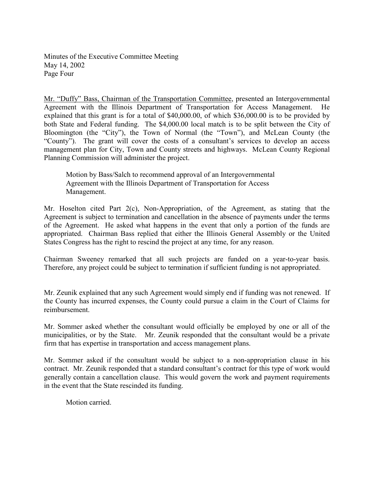Minutes of the Executive Committee Meeting May 14, 2002 Page Four

Mr. "Duffy" Bass, Chairman of the Transportation Committee, presented an Intergovernmental Agreement with the Illinois Department of Transportation for Access Management. He explained that this grant is for a total of \$40,000.00, of which \$36,000.00 is to be provided by both State and Federal funding. The \$4,000.00 local match is to be split between the City of Bloomington (the "City"), the Town of Normal (the "Town"), and McLean County (the "County"). The grant will cover the costs of a consultant's services to develop an access management plan for City, Town and County streets and highways. McLean County Regional Planning Commission will administer the project.

Motion by Bass/Salch to recommend approval of an Intergovernmental Agreement with the Illinois Department of Transportation for Access Management.

Mr. Hoselton cited Part 2(c), Non-Appropriation, of the Agreement, as stating that the Agreement is subject to termination and cancellation in the absence of payments under the terms of the Agreement. He asked what happens in the event that only a portion of the funds are appropriated. Chairman Bass replied that either the Illinois General Assembly or the United States Congress has the right to rescind the project at any time, for any reason.

Chairman Sweeney remarked that all such projects are funded on a year-to-year basis. Therefore, any project could be subject to termination if sufficient funding is not appropriated.

Mr. Zeunik explained that any such Agreement would simply end if funding was not renewed. If the County has incurred expenses, the County could pursue a claim in the Court of Claims for reimbursement.

Mr. Sommer asked whether the consultant would officially be employed by one or all of the municipalities, or by the State. Mr. Zeunik responded that the consultant would be a private firm that has expertise in transportation and access management plans.

Mr. Sommer asked if the consultant would be subject to a non-appropriation clause in his contract. Mr. Zeunik responded that a standard consultant's contract for this type of work would generally contain a cancellation clause. This would govern the work and payment requirements in the event that the State rescinded its funding.

Motion carried.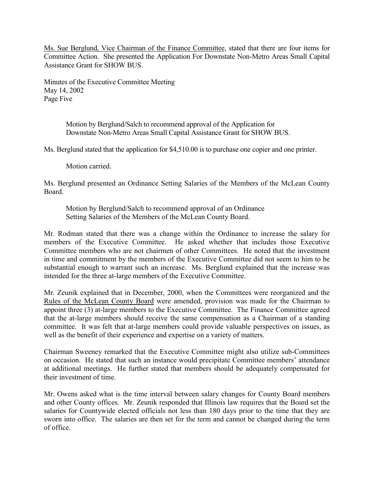Ms. Sue Berglund, Vice Chairman of the Finance Committee, stated that there are four items for Committee Action. She presented the Application For Downstate Non-Metro Areas Small Capital Assistance Grant for SHOW BUS.

Minutes of the Executive Committee Meeting May 14, 2002 Page Five

> Motion by Berglund/Salch to recommend approval of the Application for Downstate Non-Metro Areas Small Capital Assistance Grant for SHOW BUS.

Ms. Berglund stated that the application for \$4,510.00 is to purchase one copier and one printer.

Motion carried.

Ms. Berglund presented an Ordinance Setting Salaries of the Members of the McLean County Board.

Motion by Berglund/Salch to recommend approval of an Ordinance Setting Salaries of the Members of the McLean County Board.

Mr. Rodman stated that there was a change within the Ordinance to increase the salary for members of the Executive Committee. He asked whether that includes those Executive Committee members who are not chairmen of other Committees. He noted that the investment in time and commitment by the members of the Executive Committee did not seem to him to be substantial enough to warrant such an increase. Ms. Berglund explained that the increase was intended for the three at-large members of the Executive Committee.

Mr. Zeunik explained that in December, 2000, when the Committees were reorganized and the Rules of the McLean County Board were amended, provision was made for the Chairman to appoint three (3) at-large members to the Executive Committee. The Finance Committee agreed that the at-large members should receive the same compensation as a Chairman of a standing committee. It was felt that at-large members could provide valuable perspectives on issues, as well as the benefit of their experience and expertise on a variety of matters.

Chairman Sweeney remarked that the Executive Committee might also utilize sub-Committees on occasion. He stated that such an instance would precipitate Committee members' attendance at additional meetings. He further stated that members should be adequately compensated for their investment of time.

Mr. Owens asked what is the time interval between salary changes for County Board members and other County offices. Mr. Zeunik responded that Illinois law requires that the Board set the salaries for Countywide elected officials not less than 180 days prior to the time that they are sworn into office. The salaries are then set for the term and cannot be changed during the term of office.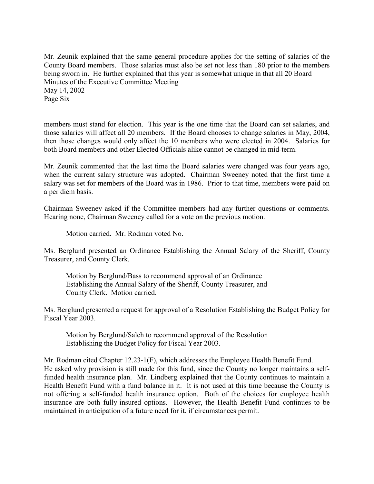Mr. Zeunik explained that the same general procedure applies for the setting of salaries of the County Board members. Those salaries must also be set not less than 180 prior to the members being sworn in. He further explained that this year is somewhat unique in that all 20 Board Minutes of the Executive Committee Meeting May 14, 2002 Page Six

members must stand for election. This year is the one time that the Board can set salaries, and those salaries will affect all 20 members. If the Board chooses to change salaries in May, 2004, then those changes would only affect the 10 members who were elected in 2004. Salaries for both Board members and other Elected Officials alike cannot be changed in mid-term.

Mr. Zeunik commented that the last time the Board salaries were changed was four years ago, when the current salary structure was adopted. Chairman Sweeney noted that the first time a salary was set for members of the Board was in 1986. Prior to that time, members were paid on a per diem basis.

Chairman Sweeney asked if the Committee members had any further questions or comments. Hearing none, Chairman Sweeney called for a vote on the previous motion.

Motion carried. Mr. Rodman voted No.

Ms. Berglund presented an Ordinance Establishing the Annual Salary of the Sheriff, County Treasurer, and County Clerk.

Motion by Berglund/Bass to recommend approval of an Ordinance Establishing the Annual Salary of the Sheriff, County Treasurer, and County Clerk. Motion carried.

Ms. Berglund presented a request for approval of a Resolution Establishing the Budget Policy for Fiscal Year 2003.

Motion by Berglund/Salch to recommend approval of the Resolution Establishing the Budget Policy for Fiscal Year 2003.

Mr. Rodman cited Chapter 12.23-1(F), which addresses the Employee Health Benefit Fund. He asked why provision is still made for this fund, since the County no longer maintains a selffunded health insurance plan. Mr. Lindberg explained that the County continues to maintain a Health Benefit Fund with a fund balance in it. It is not used at this time because the County is not offering a self-funded health insurance option. Both of the choices for employee health insurance are both fully-insured options. However, the Health Benefit Fund continues to be maintained in anticipation of a future need for it, if circumstances permit.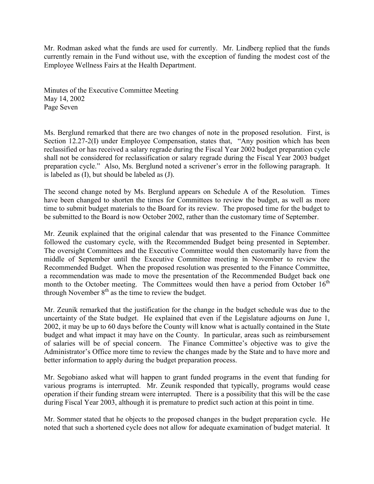Mr. Rodman asked what the funds are used for currently. Mr. Lindberg replied that the funds currently remain in the Fund without use, with the exception of funding the modest cost of the Employee Wellness Fairs at the Health Department.

Minutes of the Executive Committee Meeting May 14, 2002 Page Seven

Ms. Berglund remarked that there are two changes of note in the proposed resolution. First, is Section 12.27-2(I) under Employee Compensation, states that, "Any position which has been reclassified or has received a salary regrade during the Fiscal Year 2002 budget preparation cycle shall not be considered for reclassification or salary regrade during the Fiscal Year 2003 budget preparation cycle." Also, Ms. Berglund noted a scrivener's error in the following paragraph. It is labeled as (I), but should be labeled as (J).

The second change noted by Ms. Berglund appears on Schedule A of the Resolution. Times have been changed to shorten the times for Committees to review the budget, as well as more time to submit budget materials to the Board for its review. The proposed time for the budget to be submitted to the Board is now October 2002, rather than the customary time of September.

Mr. Zeunik explained that the original calendar that was presented to the Finance Committee followed the customary cycle, with the Recommended Budget being presented in September. The oversight Committees and the Executive Committee would then customarily have from the middle of September until the Executive Committee meeting in November to review the Recommended Budget. When the proposed resolution was presented to the Finance Committee, a recommendation was made to move the presentation of the Recommended Budget back one month to the October meeting. The Committees would then have a period from October  $16<sup>th</sup>$ through November  $8<sup>th</sup>$  as the time to review the budget.

Mr. Zeunik remarked that the justification for the change in the budget schedule was due to the uncertainty of the State budget. He explained that even if the Legislature adjourns on June 1, 2002, it may be up to 60 days before the County will know what is actually contained in the State budget and what impact it may have on the County. In particular, areas such as reimbursement of salaries will be of special concern. The Finance Committee's objective was to give the Administrator's Office more time to review the changes made by the State and to have more and better information to apply during the budget preparation process.

Mr. Segobiano asked what will happen to grant funded programs in the event that funding for various programs is interrupted. Mr. Zeunik responded that typically, programs would cease operation if their funding stream were interrupted. There is a possibility that this will be the case during Fiscal Year 2003, although it is premature to predict such action at this point in time.

Mr. Sommer stated that he objects to the proposed changes in the budget preparation cycle. He noted that such a shortened cycle does not allow for adequate examination of budget material. It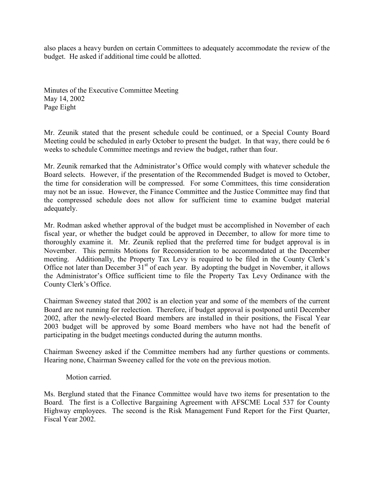also places a heavy burden on certain Committees to adequately accommodate the review of the budget. He asked if additional time could be allotted.

Minutes of the Executive Committee Meeting May 14, 2002 Page Eight

Mr. Zeunik stated that the present schedule could be continued, or a Special County Board Meeting could be scheduled in early October to present the budget. In that way, there could be 6 weeks to schedule Committee meetings and review the budget, rather than four.

Mr. Zeunik remarked that the Administrator's Office would comply with whatever schedule the Board selects. However, if the presentation of the Recommended Budget is moved to October, the time for consideration will be compressed. For some Committees, this time consideration may not be an issue. However, the Finance Committee and the Justice Committee may find that the compressed schedule does not allow for sufficient time to examine budget material adequately.

Mr. Rodman asked whether approval of the budget must be accomplished in November of each fiscal year, or whether the budget could be approved in December, to allow for more time to thoroughly examine it. Mr. Zeunik replied that the preferred time for budget approval is in November. This permits Motions for Reconsideration to be accommodated at the December meeting. Additionally, the Property Tax Levy is required to be filed in the County Clerk's Office not later than December  $31<sup>st</sup>$  of each year. By adopting the budget in November, it allows the Administrator's Office sufficient time to file the Property Tax Levy Ordinance with the County Clerk's Office.

Chairman Sweeney stated that 2002 is an election year and some of the members of the current Board are not running for reelection. Therefore, if budget approval is postponed until December 2002, after the newly-elected Board members are installed in their positions, the Fiscal Year 2003 budget will be approved by some Board members who have not had the benefit of participating in the budget meetings conducted during the autumn months.

Chairman Sweeney asked if the Committee members had any further questions or comments. Hearing none, Chairman Sweeney called for the vote on the previous motion.

## Motion carried.

Ms. Berglund stated that the Finance Committee would have two items for presentation to the Board. The first is a Collective Bargaining Agreement with AFSCME Local 537 for County Highway employees. The second is the Risk Management Fund Report for the First Quarter, Fiscal Year 2002.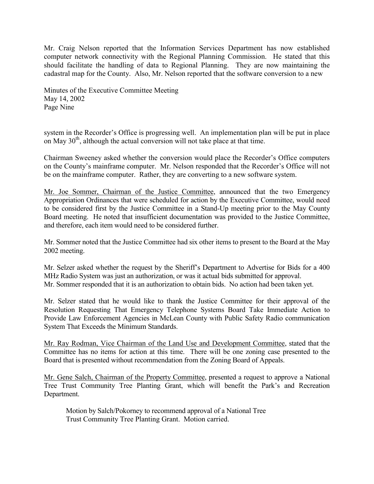Mr. Craig Nelson reported that the Information Services Department has now established computer network connectivity with the Regional Planning Commission. He stated that this should facilitate the handling of data to Regional Planning. They are now maintaining the cadastral map for the County. Also, Mr. Nelson reported that the software conversion to a new

Minutes of the Executive Committee Meeting May 14, 2002 Page Nine

system in the Recorder's Office is progressing well. An implementation plan will be put in place on May  $30<sup>th</sup>$ , although the actual conversion will not take place at that time.

Chairman Sweeney asked whether the conversion would place the Recorder's Office computers on the County's mainframe computer. Mr. Nelson responded that the Recorder's Office will not be on the mainframe computer. Rather, they are converting to a new software system.

Mr. Joe Sommer, Chairman of the Justice Committee, announced that the two Emergency Appropriation Ordinances that were scheduled for action by the Executive Committee, would need to be considered first by the Justice Committee in a Stand-Up meeting prior to the May County Board meeting. He noted that insufficient documentation was provided to the Justice Committee, and therefore, each item would need to be considered further.

Mr. Sommer noted that the Justice Committee had six other items to present to the Board at the May 2002 meeting.

Mr. Selzer asked whether the request by the Sheriff's Department to Advertise for Bids for a 400 MHz Radio System was just an authorization, or was it actual bids submitted for approval. Mr. Sommer responded that it is an authorization to obtain bids. No action had been taken yet.

Mr. Selzer stated that he would like to thank the Justice Committee for their approval of the Resolution Requesting That Emergency Telephone Systems Board Take Immediate Action to Provide Law Enforcement Agencies in McLean County with Public Safety Radio communication System That Exceeds the Minimum Standards.

Mr. Ray Rodman, Vice Chairman of the Land Use and Development Committee, stated that the Committee has no items for action at this time. There will be one zoning case presented to the Board that is presented without recommendation from the Zoning Board of Appeals.

Mr. Gene Salch, Chairman of the Property Committee, presented a request to approve a National Tree Trust Community Tree Planting Grant, which will benefit the Park's and Recreation Department.

Motion by Salch/Pokorney to recommend approval of a National Tree Trust Community Tree Planting Grant. Motion carried.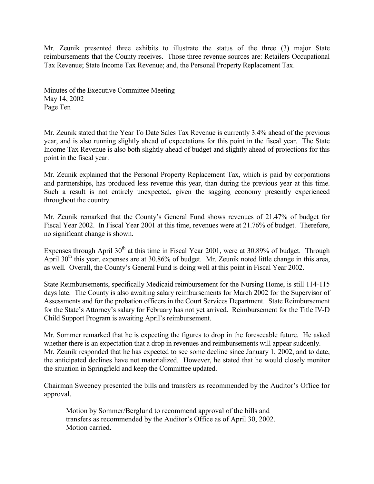Mr. Zeunik presented three exhibits to illustrate the status of the three (3) major State reimbursements that the County receives. Those three revenue sources are: Retailers Occupational Tax Revenue; State Income Tax Revenue; and, the Personal Property Replacement Tax.

Minutes of the Executive Committee Meeting May 14, 2002 Page Ten

Mr. Zeunik stated that the Year To Date Sales Tax Revenue is currently 3.4% ahead of the previous year, and is also running slightly ahead of expectations for this point in the fiscal year. The State Income Tax Revenue is also both slightly ahead of budget and slightly ahead of projections for this point in the fiscal year.

Mr. Zeunik explained that the Personal Property Replacement Tax, which is paid by corporations and partnerships, has produced less revenue this year, than during the previous year at this time. Such a result is not entirely unexpected, given the sagging economy presently experienced throughout the country.

Mr. Zeunik remarked that the County's General Fund shows revenues of 21.47% of budget for Fiscal Year 2002. In Fiscal Year 2001 at this time, revenues were at 21.76% of budget. Therefore, no significant change is shown.

Expenses through April  $30<sup>th</sup>$  at this time in Fiscal Year 2001, were at 30.89% of budget. Through April  $30<sup>th</sup>$  this year, expenses are at 30.86% of budget. Mr. Zeunik noted little change in this area, as well. Overall, the County's General Fund is doing well at this point in Fiscal Year 2002.

State Reimbursements, specifically Medicaid reimbursement for the Nursing Home, is still 114-115 days late. The County is also awaiting salary reimbursements for March 2002 for the Supervisor of Assessments and for the probation officers in the Court Services Department. State Reimbursement for the State's Attorney's salary for February has not yet arrived. Reimbursement for the Title IV-D Child Support Program is awaiting April's reimbursement.

Mr. Sommer remarked that he is expecting the figures to drop in the foreseeable future. He asked whether there is an expectation that a drop in revenues and reimbursements will appear suddenly. Mr. Zeunik responded that he has expected to see some decline since January 1, 2002, and to date, the anticipated declines have not materialized. However, he stated that he would closely monitor the situation in Springfield and keep the Committee updated.

Chairman Sweeney presented the bills and transfers as recommended by the Auditor's Office for approval.

Motion by Sommer/Berglund to recommend approval of the bills and transfers as recommended by the Auditor's Office as of April 30, 2002. Motion carried.